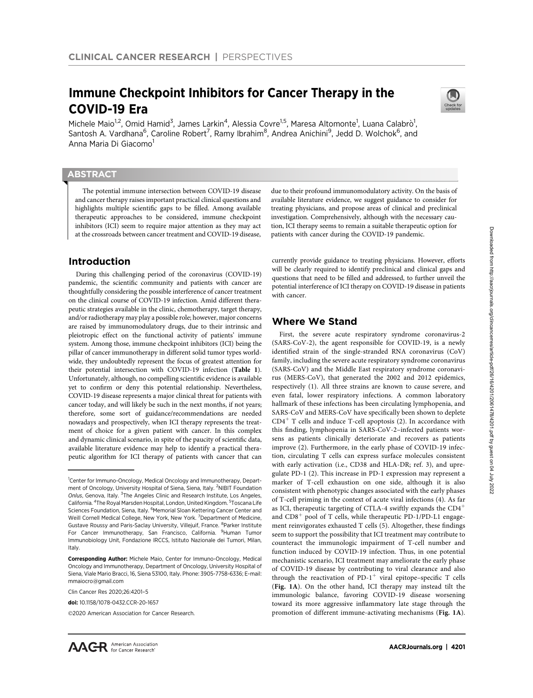# Immune Checkpoint Inhibitors for Cancer Therapy in the COVID-19 Era



Michele Maio<sup>1,2</sup>, Omid Hamid<sup>3</sup>, James Larkin<sup>4</sup>, Alessia Covre<sup>1,5</sup>, Maresa Altomonte<sup>1</sup>, Luana Calabrò<sup>1</sup>, Santosh A. Vardhana<sup>6</sup>, Caroline Robert<sup>7</sup>, Ramy Ibrahim<sup>8</sup>, Andrea Anichini<sup>9</sup>, Jedd D. Wolchok<sup>6</sup>, and Anna Maria Di Giacomo<sup>1</sup>

### **ABSTRACT**

◥

The potential immune intersection between COVID-19 disease and cancer therapy raises important practical clinical questions and highlights multiple scientific gaps to be filled. Among available therapeutic approaches to be considered, immune checkpoint inhibitors (ICI) seem to require major attention as they may act at the crossroads between cancer treatment and COVID-19 disease,

### Introduction

During this challenging period of the coronavirus (COVID-19) pandemic, the scientific community and patients with cancer are thoughtfully considering the possible interference of cancer treatment on the clinical course of COVID-19 infection. Amid different therapeutic strategies available in the clinic, chemotherapy, target therapy, and/or radiotherapy may play a possible role; however, major concerns are raised by immunomodulatory drugs, due to their intrinsic and pleiotropic effect on the functional activity of patients' immune system. Among those, immune checkpoint inhibitors (ICI) being the pillar of cancer immunotherapy in different solid tumor types worldwide, they undoubtedly represent the focus of greatest attention for their potential intersection with COVID-19 infection (Table 1). Unfortunately, although, no compelling scientific evidence is available yet to confirm or deny this potential relationship. Nevertheless, COVID-19 disease represents a major clinical threat for patients with cancer today, and will likely be such in the next months, if not years; therefore, some sort of guidance/recommendations are needed nowadays and prospectively, when ICI therapy represents the treatment of choice for a given patient with cancer. In this complex and dynamic clinical scenario, in spite of the paucity of scientific data, available literature evidence may help to identify a practical therapeutic algorithm for ICI therapy of patients with cancer that can

Clin Cancer Res 2020;26:4201–5

2020 American Association for Cancer Research.

due to their profound immunomodulatory activity. On the basis of available literature evidence, we suggest guidance to consider for treating physicians, and propose areas of clinical and preclinical investigation. Comprehensively, although with the necessary caution, ICI therapy seems to remain a suitable therapeutic option for patients with cancer during the COVID-19 pandemic.

currently provide guidance to treating physicians. However, efforts will be clearly required to identify preclinical and clinical gaps and questions that need to be filled and addressed, to further unveil the potential interference of ICI therapy on COVID-19 disease in patients with cancer.

### Where We Stand

First, the severe acute respiratory syndrome coronavirus-2 (SARS-CoV-2), the agent responsible for COVID-19, is a newly identified strain of the single-stranded RNA coronavirus (CoV) family, including the severe acute respiratory syndrome coronavirus (SARS-CoV) and the Middle East respiratory syndrome coronavirus (MERS-CoV), that generated the 2002 and 2012 epidemics, respectively (1). All three strains are known to cause severe, and even fatal, lower respiratory infections. A common laboratory hallmark of these infections has been circulating lymphopenia, and SARS-CoV and MERS-CoV have specifically been shown to deplete  $CD4<sup>+</sup>$  T cells and induce T-cell apoptosis (2). In accordance with this finding, lymphopenia in SARS-CoV-2–infected patients worsens as patients clinically deteriorate and recovers as patients improve (2). Furthermore, in the early phase of COVID-19 infection, circulating T cells can express surface molecules consistent with early activation (i.e., CD38 and HLA-DR; ref. 3), and upregulate PD-1 (2). This increase in PD-1 expression may represent a marker of T-cell exhaustion on one side, although it is also consistent with phenotypic changes associated with the early phases of T-cell priming in the context of acute viral infections (4). As far as ICI, therapeutic targeting of CTLA-4 swiftly expands the  $CD4<sup>+</sup>$ and  $CD8<sup>+</sup>$  pool of T cells, while therapeutic PD-1/PD-L1 engagement reinvigorates exhausted T cells (5). Altogether, these findings seem to support the possibility that ICI treatment may contribute to counteract the immunologic impairment of T-cell number and function induced by COVID-19 infection. Thus, in one potential mechanistic scenario, ICI treatment may ameliorate the early phase of COVID-19 disease by contributing to viral clearance and also through the reactivation of PD-1<sup>+</sup> viral epitope–specific T cells (Fig. 1A). On the other hand, ICI therapy may instead tilt the immunologic balance, favoring COVID-19 disease worsening toward its more aggressive inflammatory late stage through the promotion of different immune-activating mechanisms (Fig. 1A).

<sup>&</sup>lt;sup>1</sup>Center for Immuno-Oncology, Medical Oncology and Immunotherapy, Department of Oncology, University Hospital of Siena, Siena, Italy. <sup>2</sup>NIBIT Foundation Onlus, Genova, Italy. <sup>3</sup>The Angeles Clinic and Research Institute, Los Angeles, California. <sup>4</sup>The Royal Marsden Hospital, London, United Kingdom. <sup>5</sup>Toscana Life Sciences Foundation, Siena, Italy. <sup>6</sup>Memorial Sloan Kettering Cancer Center and Weill Cornell Medical College, New York, New York. <sup>7</sup>Department of Medicine, Gustave Roussy and Paris-Saclay University, Villejuif, France. <sup>8</sup>Parker Institute For Cancer Immunotherapy, San Francisco, California. <sup>9</sup>Human Tumor Immunobiology Unit, Fondazione IRCCS, Istituto Nazionale dei Tumori, Milan, Italy.

Corresponding Author: Michele Maio, Center for Immuno-Oncology, Medical Oncology and Immunotherapy, Department of Oncology, University Hospital of Siena, Viale Mario Bracci, 16, Siena 53100, Italy. Phone: 3905-7758-6336; E-mail: mmaiocro@gmail.com

doi: 10.1158/1078-0432.CCR-20-1657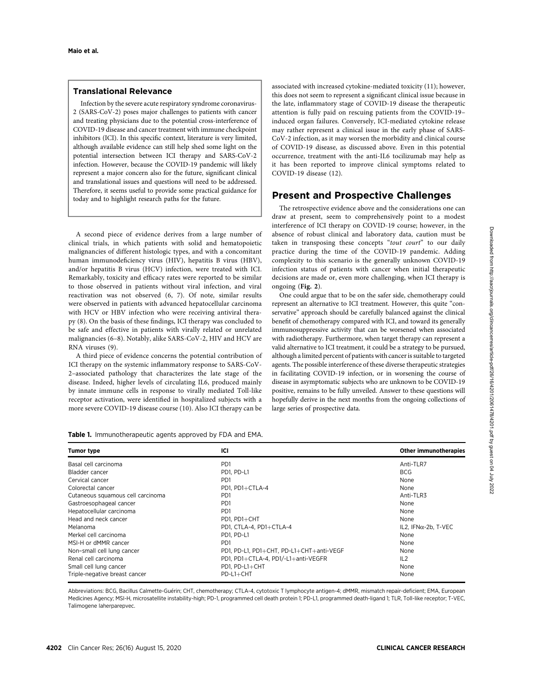### Translational Relevance

Infection by the severe acute respiratory syndrome coronavirus-2 (SARS-CoV-2) poses major challenges to patients with cancer and treating physicians due to the potential cross-interference of COVID-19 disease and cancer treatment with immune checkpoint inhibitors (ICI). In this specific context, literature is very limited, although available evidence can still help shed some light on the potential intersection between ICI therapy and SARS-CoV-2 infection. However, because the COVID-19 pandemic will likely represent a major concern also for the future, significant clinical and translational issues and questions will need to be addressed. Therefore, it seems useful to provide some practical guidance for today and to highlight research paths for the future.

A second piece of evidence derives from a large number of clinical trials, in which patients with solid and hematopoietic malignancies of different histologic types, and with a concomitant human immunodeficiency virus (HIV), hepatitis B virus (HBV), and/or hepatitis B virus (HCV) infection, were treated with ICI. Remarkably, toxicity and efficacy rates were reported to be similar to those observed in patients without viral infection, and viral reactivation was not observed (6, 7). Of note, similar results were observed in patients with advanced hepatocellular carcinoma with HCV or HBV infection who were receiving antiviral therapy (8). On the basis of these findings, ICI therapy was concluded to be safe and effective in patients with virally related or unrelated malignancies (6–8). Notably, alike SARS-CoV-2, HIV and HCV are RNA viruses (9).

A third piece of evidence concerns the potential contribution of ICI therapy on the systemic inflammatory response to SARS-CoV-2–associated pathology that characterizes the late stage of the disease. Indeed, higher levels of circulating IL6, produced mainly by innate immune cells in response to virally mediated Toll-like receptor activation, were identified in hospitalized subjects with a more severe COVID-19 disease course (10). Also ICI therapy can be associated with increased cytokine-mediated toxicity (11); however, this does not seem to represent a significant clinical issue because in the late, inflammatory stage of COVID-19 disease the therapeutic attention is fully paid on rescuing patients from the COVID-19– induced organ failures. Conversely, ICI-mediated cytokine release may rather represent a clinical issue in the early phase of SARS-CoV-2 infection, as it may worsen the morbidity and clinical course of COVID-19 disease, as discussed above. Even in this potential occurrence, treatment with the anti-IL6 tocilizumab may help as it has been reported to improve clinical symptoms related to COVID-19 disease (12).

## Present and Prospective Challenges

The retrospective evidence above and the considerations one can draw at present, seem to comprehensively point to a modest interference of ICI therapy on COVID-19 course; however, in the absence of robust clinical and laboratory data, caution must be taken in transposing these concepts "tout court" to our daily practice during the time of the COVID-19 pandemic. Adding complexity to this scenario is the generally unknown COVID-19 infection status of patients with cancer when initial therapeutic decisions are made or, even more challenging, when ICI therapy is ongoing (Fig. 2).

One could argue that to be on the safer side, chemotherapy could represent an alternative to ICI treatment. However, this quite "conservative" approach should be carefully balanced against the clinical benefit of chemotherapy compared with ICI, and toward its generally immunosuppressive activity that can be worsened when associated with radiotherapy. Furthermore, when target therapy can represent a valid alternative to ICI treatment, it could be a strategy to be pursued, although a limited percent of patients with cancer is suitable to targeted agents. The possible interference of these diverse therapeutic strategies in facilitating COVID-19 infection, or in worsening the course of disease in asymptomatic subjects who are unknown to be COVID-19 positive, remains to be fully unveiled. Answer to these questions will hopefully derive in the next months from the ongoing collections of large series of prospective data.

|  | Table 1. Immunotherapeutic agents approved by FDA and EMA. |
|--|------------------------------------------------------------|
|--|------------------------------------------------------------|

| <b>Tumor type</b>                 | ICI                                      | <b>Other immunotherapies</b> |
|-----------------------------------|------------------------------------------|------------------------------|
| Basal cell carcinoma              | PD <sub>1</sub>                          | Anti-TLR7                    |
| Bladder cancer                    | PD1. PD-L1                               | <b>BCG</b>                   |
| Cervical cancer                   | P <sub>D</sub> 1                         | <b>None</b>                  |
| Colorectal cancer                 | PD1, PD1+CTLA-4                          | None                         |
| Cutaneous squamous cell carcinoma | P <sub>D</sub> 1                         | Anti-TLR3                    |
| Gastroesophageal cancer           | P <sub>D</sub> 1                         | None                         |
| Hepatocellular carcinoma          | P <sub>D</sub> 1                         | None                         |
| Head and neck cancer              | PD1. PD1+CHT                             | <b>None</b>                  |
| Melanoma                          | PD1. CTLA-4. PD1+CTLA-4                  | IL2, IFN $\alpha$ -2b, T-VEC |
| Merkel cell carcinoma             | PD1. PD-L1                               | None                         |
| MSI-H or dMMR cancer              | P <sub>D</sub> 1                         | None                         |
| Non-small cell lung cancer        | PD1. PD-L1. PD1+CHT. PD-L1+CHT+anti-VEGF | None                         |
| Renal cell carcinoma              | PD1, PD1+CTLA-4, PD1/-L1+anti-VEGFR      | IL2                          |
| Small cell lung cancer            | PD1, PD-L1+CHT                           | None                         |
| Triple-negative breast cancer     | $PD-L1+CHT$                              | None                         |

Abbreviations: BCG, Bacillus Calmette-Guerin; CHT, chemotherapy; CTLA-4, cytotoxic T lymphocyte antigen-4; dMMR, mismatch repair-de ficient; EMA, European Medicines Agency; MSI-H, microsatellite instability-high; PD-1, programmed cell death protein 1; PD-L1, programmed death-ligand 1; TLR, Toll-like receptor; T-VEC, Talimogene laherparepvec.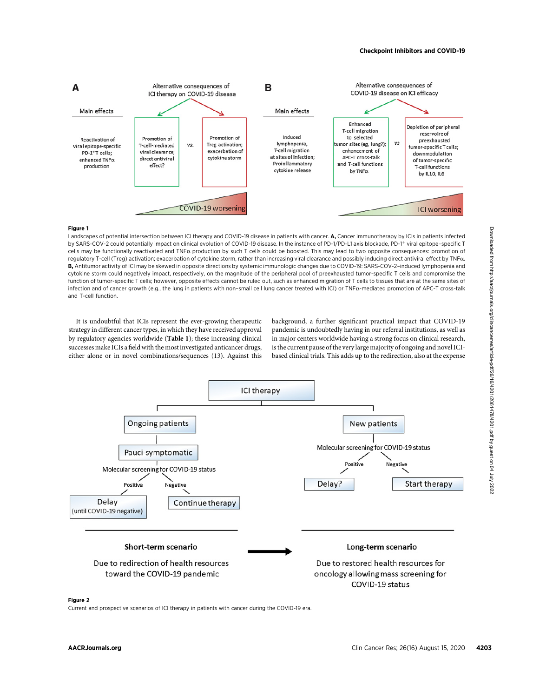

#### Figure 1

Landscapes of potential intersection between ICI therapy and COVID-19 disease in patients with cancer. A, Cancer immunotherapy by ICIs in patients infected by SARS-COV-2 could potentially impact on clinical evolution of COVID-19 disease. In the instance of PD-1/PD-L1 axis blockade, PD-1<sup>+</sup> viral epitope-specific T cells may be functionally reactivated and TNF $\alpha$  production by such T cells could be boosted. This may lead to two opposite consequences: promotion of regulatory T-cell (Treg) activation; exacerbation of cytokine storm, rather than increasing viral clearance and possibly inducing direct antiviral effect by TNFa. B, Antitumor activity of ICI may be skewed in opposite directions by systemic immunologic changes due to COVID-19: SARS-COV-2–induced lymphopenia and cytokine storm could negatively impact, respectively, on the magnitude of the peripheral pool of preexhausted tumor-specific T cells and compromise the function of tumor-specific T cells; however, opposite effects cannot be ruled out, such as enhanced migration of T cells to tissues that are at the same sites of infection and of cancer growth (e.g., the lung in patients with non-small cell lung cancer treated with ICI) or TNFa-mediated promotion of APC-T cross-talk and T-cell function.

It is undoubtful that ICIs represent the ever-growing therapeutic strategy in different cancer types, in which they have received approval by regulatory agencies worldwide (Table 1); these increasing clinical successes make ICIs a field with the most investigated anticancer drugs, either alone or in novel combinations/sequences (13). Against this background, a further significant practical impact that COVID-19 pandemic is undoubtedly having in our referral institutions, as well as in major centers worldwide having a strong focus on clinical research, is the current pause of the very large majority of ongoing and novel ICIbased clinical trials. This adds up to the redirection, also at the expense



#### Figure 2

Current and prospective scenarios of ICI therapy in patients with cancer during the COVID-19 era.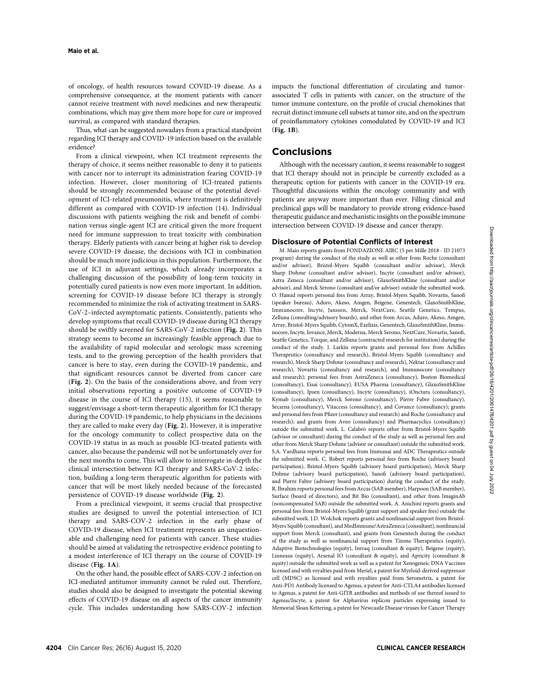of oncology, of health resources toward COVID-19 disease. As a comprehensive consequence, at the moment patients with cancer cannot receive treatment with novel medicines and new therapeutic combinations, which may give them more hope for cure or improved survival, as compared with standard therapies.

Thus, what can be suggested nowadays from a practical standpoint regarding ICI therapy and COVID-19 infection based on the available evidence?

From a clinical viewpoint, when ICI treatment represents the therapy of choice, it seems neither reasonable to deny it to patients with cancer nor to interrupt its administration fearing COVID-19 infection. However, closer monitoring of ICI-treated patients should be strongly recommended because of the potential development of ICI-related pneumonitis, where treatment is definitively different as compared with COVID-19 infection (14). Individual discussions with patients weighing the risk and benefit of combination versus single-agent ICI are critical given the more frequent need for immune suppression to treat toxicity with combination therapy. Elderly patients with cancer being at higher risk to develop severe COVID-19 disease, the decisions with ICI in combination should be much more judicious in this population. Furthermore, the use of ICI in adjuvant settings, which already incorporates a challenging discussion of the possibility of long-term toxicity in potentially cured patients is now even more important. In addition, screening for COVID-19 disease before ICI therapy is strongly recommended to minimize the risk of activating treatment in SARS-CoV-2–infected asymptomatic patients. Consistently, patients who develop symptoms that recall COVID-19 disease during ICI therapy should be swiftly screened for SARS-CoV-2 infection (Fig. 2). This strategy seems to become an increasingly feasible approach due to the availability of rapid molecular and serologic mass screening tests, and to the growing perception of the health providers that cancer is here to stay, even during the COVID-19 pandemic, and that significant resources cannot be diverted from cancer care (Fig. 2). On the basis of the considerations above, and from very initial observations reporting a positive outcome of COVID-19 disease in the course of ICI therapy (15), it seems reasonable to suggest/envisage a short-term therapeutic algorithm for ICI therapy during the COVID-19 pandemic, to help physicians in the decisions they are called to make every day (Fig. 2). However, it is imperative for the oncology community to collect prospective data on the COVID-19 status in as much as possible ICI-treated patients with cancer, also because the pandemic will not be unfortunately over for the next months to come. This will allow to interrogate in-depth the clinical intersection between ICI therapy and SARS-CoV-2 infection, building a long-term therapeutic algorithm for patients with cancer that will be most likely needed because of the forecasted persistence of COVID-19 disease worldwide (Fig. 2).

From a preclinical viewpoint, it seems crucial that prospective studies are designed to unveil the potential intersection of ICI therapy and SARS-COV-2 infection in the early phase of COVID-19 disease, when ICI treatment represents an unquestionable and challenging need for patients with cancer. These studies should be aimed at validating the retrospective evidence pointing to a modest interference of ICI therapy on the course of COVID-19 disease (Fig. 1A).

On the other hand, the possible effect of SARS-COV-2 infection on ICI-mediated antitumor immunity cannot be ruled out. Therefore, studies should also be designed to investigate the potential skewing effects of COVID-19 disease on all aspects of the cancer immunity cycle. This includes understanding how SARS-COV-2 infection impacts the functional differentiation of circulating and tumorassociated T cells in patients with cancer, on the structure of the tumor immune contexture, on the profile of crucial chemokines that recruit distinct immune cell subsets at tumor site, and on the spectrum of proinflammatory cytokines comodulated by COVID-19 and ICI (Fig. 1B).

### Conclusions

Although with the necessary caution, it seems reasonable to suggest that ICI therapy should not in principle be currently excluded as a therapeutic option for patients with cancer in the COVID-19 era. Thoughtful discussions within the oncology community and with patients are anyway more important than ever. Filling clinical and preclinical gaps will be mandatory to provide strong evidence-based therapeutic guidance and mechanistic insights on the possible immune intersection between COVID-19 disease and cancer therapy.

#### Disclosure of Potential Conflicts of Interest

M. Maio reports grants from FONDAZIONE AIRC (5 per Mille 2018 - ID 21073 program) during the conduct of the study as well as other from Roche (consultant and/or advisor), Bristol-Myers Squibb (consultant and/or advisor), Merck Sharp Dohme (consultant and/or advisor), Incyte (consultant and/or advisor), Astra Zeneca (consultant and/or advisor), GlaxoSmithKline (consultant and/or advisor), and Merck Serono (consultant and/or advisor) outside the submitted work. O. Hamid reports personal fees from Array, Bristol-Myers Squibb, Novartis, Sanofi (speaker bureau), Aduro, Akeso, Amgen, Beigene, Genentech, GlaxoSmithKline, Immunocore, Incyte, Janssen, Merck, NextCure, Seattle Genetics, Tempus, Zelluna (consulting/advisory boards), and other from Arcus, Aduro, Akeso, Amgen, Array, Bristol-Myers Squibb, CytomX, Exelixis, Genentech, GlaxoSmithKline, Immunocore, Incyte, Iovance, Merck, Moderna, Merck Serono, NextCure, Novartis, Sanofi, Seattle Genetics, Torque, and Zelluna (contracted research for institution) during the conduct of the study. J. Larkin reports grants and personal fees from Achilles Therapeutics (consultancy and research), Bristol-Myers Squibb (consultancy and research), Merck Sharp Dohme (consultancy and research), Nektar (consultancy and research), Novartis (consultancy and research), and Immunocore (consultancy and research); personal fees from AstraZeneca (consultancy), Boston Biomedical (consultancy), Eisai (consultancy), EUSA Pharma (consultancy), GlaxoSmithKline (consultancy), Ipsen (consultancy), Incyte (consultancy), iOnctura (consultancy), Kymab (consultancy), Merck Sorono (consultancy), Pierre Fabre (consultancy), Secarna (consultancy), Vitaccess (consultancy), and Covance (consultancy); grants and personal fees from Pfizer (consultancy and research) and Roche (consultancy and research); and grants from Aveo (consultancy) and Pharmacyclics (consultancy) outside the submitted work. L. Calabrò reports other from Bristol-Myers Squibb (advisor or consultant) during the conduct of the study as well as personal fees and other from Merck Sharp Dohme (advisor or consultant) outside the submitted work. S.A. Vardhana reports personal fees from Immunai and ADC Therapeutics outside the submitted work. C. Robert reports personal fees from Roche (advisory board participation), Bristol-Myers Squibb (advisory board participation), Merck Sharp Dohme (advisory board participation), Sanofi (advisory board participation), and Pierre Fabre (advisory board participation) during the conduct of the study. R. Ibrahim reports personal fees from Arcus (SAB member), Harpoon (SAB member), Surface (board of directors), and Bit Bio (consultant), and other from ImaginAb (noncompensated SAB) outside the submitted work. A. Anichini reports grants and personal fees from Bristol-Myers Squibb (grant support and speaker fees) outside the submitted work. J.D. Wolchok reports grants and nonfinancial support from Bristol-Myers Squibb (consultant), and MedImmune/AstraZeneca (consultant), nonfinancial support from Merck (consultant), and grants from Genentech during the conduct of the study as well as nonfinancial support from Tizona Therapeutics (equity), Adaptive Biotechnologies (equity), Imvaq (consultant & equity), Beigene (equity), Linneaus (equity), Arsenal IO (consultant & equity), and Apricity (consultant & equity) outside the submitted work as well as a patent for Xenogeneic DNA Vaccines licensed and with royalties paid from Meriel, a patent for Myeloid-derived suppressor cell (MDSC) as licensed and with royalties paid from Serometrix, a patent for Anti-PD1 Antibody licensed to Agenus, a patent for Anti-CTLA4 antibodies licensed to Agenus, a patent for Anti-GITR antibodies and methods of use thereof issued to Agenus/Incyte, a patent for Alphavirus replicon particles expressing issued to Memorial Sloan Kettering, a patent for Newcastle Disease viruses for Cancer Therapy